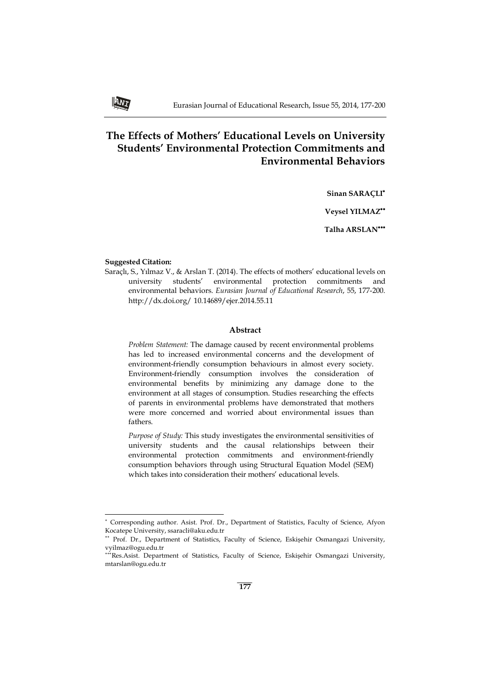# **The Effects of Mothers' Educational Levels on University Students' Environmental Protection Commitments and Environmental Behaviors**

**Sinan SARAÇLI**

**Veysel YILMAZ**

**Talha ARSLAN**

#### **Suggested Citation:**

j

Saraçlı, S., Yılmaz V., & Arslan T. (2014). The effects of mothers' educational levels on university students' environmental protection commitments and environmental behaviors. *Eurasian Journal of Educational Research*, 55, 177-200. http://dx.doi.org/ 10.14689/ejer.2014.55.11

## **Abstract**

*Problem Statement:* The damage caused by recent environmental problems has led to increased environmental concerns and the development of environment-friendly consumption behaviours in almost every society. Environment-friendly consumption involves the consideration of environmental benefits by minimizing any damage done to the environment at all stages of consumption. Studies researching the effects of parents in environmental problems have demonstrated that mothers were more concerned and worried about environmental issues than fathers.

*Purpose of Study:* This study investigates the environmental sensitivities of university students and the causal relationships between their environmental protection commitments and environment-friendly consumption behaviors through using Structural Equation Model (SEM) which takes into consideration their mothers' educational levels.

Corresponding author. Asist. Prof. Dr., Department of Statistics, Faculty of Science, Afyon Kocatepe University, ssaracli@aku.edu.tr

<sup>\*\*</sup> Prof. Dr., Department of Statistics, Faculty of Science, Eskişehir Osmangazi University, vyilmaz@ogu.edu.tr

Res.Asist. Department of Statistics, Faculty of Science, Eskişehir Osmangazi University, mtarslan@ogu.edu.tr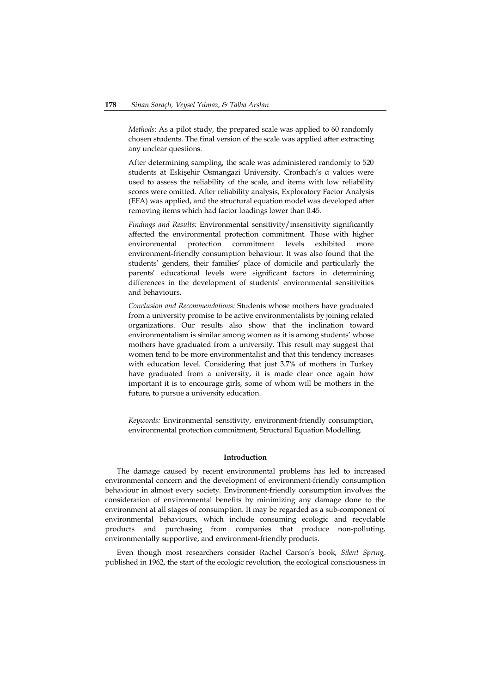*Methods:* As a pilot study, the prepared scale was applied to 60 randomly chosen students. The final version of the scale was applied after extracting any unclear questions.

After determining sampling, the scale was administered randomly to 520 students at Eskişehir Osmangazi University. Cronbach's α values were used to assess the reliability of the scale, and items with low reliability scores were omitted. After reliability analysis, Exploratory Factor Analysis (EFA) was applied, and the structural equation model was developed after removing items which had factor loadings lower than 0.45.

*Findings and Results:* Environmental sensitivity/insensitivity significantly affected the environmental protection commitment. Those with higher environmental protection commitment levels exhibited more environment-friendly consumption behaviour. It was also found that the students' genders, their families' place of domicile and particularly the parents' educational levels were significant factors in determining differences in the development of students' environmental sensitivities and behaviours.

*Conclusion and Recommendations:* Students whose mothers have graduated from a university promise to be active environmentalists by joining related organizations. Our results also show that the inclination toward environmentalism is similar among women as it is among students' whose mothers have graduated from a university. This result may suggest that women tend to be more environmentalist and that this tendency increases with education level. Considering that just 3.7% of mothers in Turkey have graduated from a university, it is made clear once again how important it is to encourage girls, some of whom will be mothers in the future, to pursue a university education.

*Keywords:* Environmental sensitivity, environment-friendly consumption, environmental protection commitment, Structural Equation Modelling.

## **Introduction**

The damage caused by recent environmental problems has led to increased environmental concern and the development of environment-friendly consumption behaviour in almost every society. Environment-friendly consumption involves the consideration of environmental benefits by minimizing any damage done to the environment at all stages of consumption. It may be regarded as a sub-component of environmental behaviours, which include consuming ecologic and recyclable products and purchasing from companies that produce non-polluting, environmentally supportive, and environment-friendly products.

Even though most researchers consider Rachel Carson's book, *Silent Spring,* published in 1962, the start of the ecologic revolution, the ecological consciousness in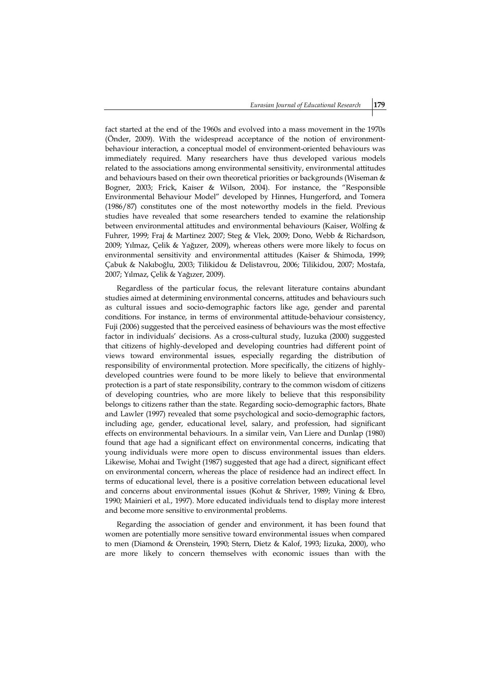fact started at the end of the 1960s and evolved into a mass movement in the 1970s (Önder, 2009). With the widespread acceptance of the notion of environmentbehaviour interaction, a conceptual model of environment-oriented behaviours was immediately required. Many researchers have thus developed various models related to the associations among environmental sensitivity, environmental attitudes and behaviours based on their own theoretical priorities or backgrounds (Wiseman & Bogner, 2003; Frick, Kaiser & Wilson, 2004). For instance, the "Responsible Environmental Behaviour Model" developed by Hinnes, Hungerford, and Tomera (1986/87) constitutes one of the most noteworthy models in the field. Previous studies have revealed that some researchers tended to examine the relationship between environmental attitudes and environmental behaviours (Kaiser, Wölfing & Fuhrer, 1999; Fraj & Martinez 2007; Steg & Vlek, 2009; Dono, Webb & Richardson, 2009; Yılmaz, Çelik & Yağızer, 2009), whereas others were more likely to focus on environmental sensitivity and environmental attitudes (Kaiser & Shimoda, 1999; Çabuk & Nakıboğlu, 2003; Tilikidou & Delistavrou, 2006; Tilikidou, 2007; Mostafa, 2007; Yılmaz, Çelik & Yağızer, 2009).

Regardless of the particular focus, the relevant literature contains abundant studies aimed at determining environmental concerns, attitudes and behaviours such as cultural issues and socio-demographic factors like age, gender and parental conditions. For instance, in terms of environmental attitude-behaviour consistency, Fuji (2006) suggested that the perceived easiness of behaviours was the most effective factor in individuals' decisions. As a cross-cultural study, Iuzuka (2000) suggested that citizens of highly-developed and developing countries had different point of views toward environmental issues, especially regarding the distribution of responsibility of environmental protection. More specifically, the citizens of highlydeveloped countries were found to be more likely to believe that environmental protection is a part of state responsibility, contrary to the common wisdom of citizens of developing countries, who are more likely to believe that this responsibility belongs to citizens rather than the state. Regarding socio-demographic factors, Bhate and Lawler (1997) revealed that some psychological and socio-demographic factors, including age, gender, educational level, salary, and profession, had significant effects on environmental behaviours. In a similar vein, Van Liere and Dunlap (1980) found that age had a significant effect on environmental concerns, indicating that young individuals were more open to discuss environmental issues than elders. Likewise, Mohai and Twight (1987) suggested that age had a direct, significant effect on environmental concern, whereas the place of residence had an indirect effect. In terms of educational level, there is a positive correlation between educational level and concerns about environmental issues (Kohut & Shriver, 1989; Vining & Ebro, 1990; Mainieri et al., 1997). More educated individuals tend to display more interest and become more sensitive to environmental problems.

Regarding the association of gender and environment, it has been found that women are potentially more sensitive toward environmental issues when compared to men (Diamond & Orenstein, 1990; Stern, Dietz & Kalof, 1993; Iizuka, 2000), who are more likely to concern themselves with economic issues than with the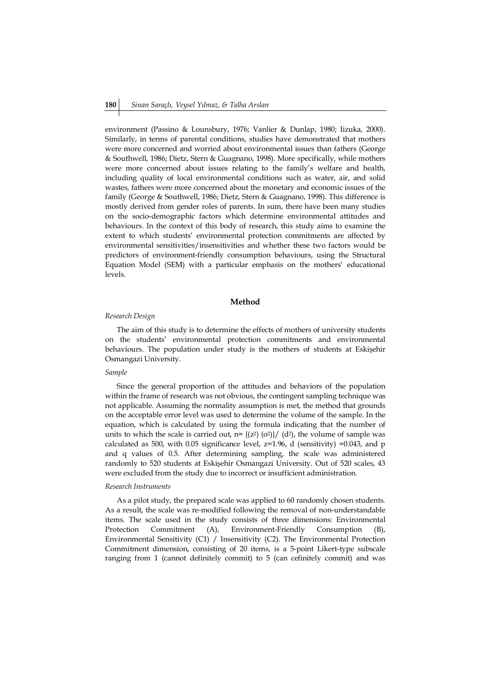environment (Passino & Lounsbury, 1976; Vanlier & Dunlap, 1980; Iizuka, 2000). Similarly, in terms of parental conditions, studies have demonstrated that mothers were more concerned and worried about environmental issues than fathers (George & Southwell, 1986; Dietz, Stern & Guagnano, 1998). More specifically, while mothers were more concerned about issues relating to the family's welfare and health, including quality of local environmental conditions such as water, air, and solid wastes, fathers were more concerned about the monetary and economic issues of the family (George & Southwell, 1986; Dietz, Stern & Guagnano, 1998). This difference is mostly derived from gender roles of parents. In sum, there have been many studies on the socio-demographic factors which determine environmental attitudes and behaviours. In the context of this body of research, this study aims to examine the extent to which students' environmental protection commitments are affected by environmental sensitivities/insensitivities and whether these two factors would be predictors of environment-friendly consumption behaviours, using the Structural Equation Model (SEM) with a particular emphasis on the mothers' educational levels.

## **Method**

#### *Research Design*

The aim of this study is to determine the effects of mothers of university students on the students' environmental protection commitments and environmental behaviours. The population under study is the mothers of students at Eskişehir Osmangazi University.

## *Sample*

Since the general proportion of the attitudes and behaviors of the population within the frame of research was not obvious, the contingent sampling technique was not applicable. Assuming the normality assumption is met, the method that grounds on the acceptable error level was used to determine the volume of the sample. In the equation, which is calculated by using the formula indicating that the number of units to which the scale is carried out,  $n = \{(z^2)(\sigma^2)\}/(d^2)$ , the volume of sample was calculated as 500, with 0.05 significance level,  $z=1.96$ , d (sensitivity) =0.043, and p and q values of 0.5. After determining sampling, the scale was administered randomly to 520 students at Eskişehir Osmangazi University. Out of 520 scales, 43 were excluded from the study due to incorrect or insufficient administration.

## *Research Instruments*

As a pilot study, the prepared scale was applied to 60 randomly chosen students. As a result, the scale was re-modified following the removal of non-understandable items. The scale used in the study consists of three dimensions: Environmental Protection Commitment (A), Environment-Friendly Consumption (B), Environmental Sensitivity (C1) / Insensitivity (C2). The Environmental Protection Commitment dimension, consisting of 20 items, is a 5-point Likert-type subscale ranging from 1 (cannot definitely commit) to 5 (can cefinitely commit) and was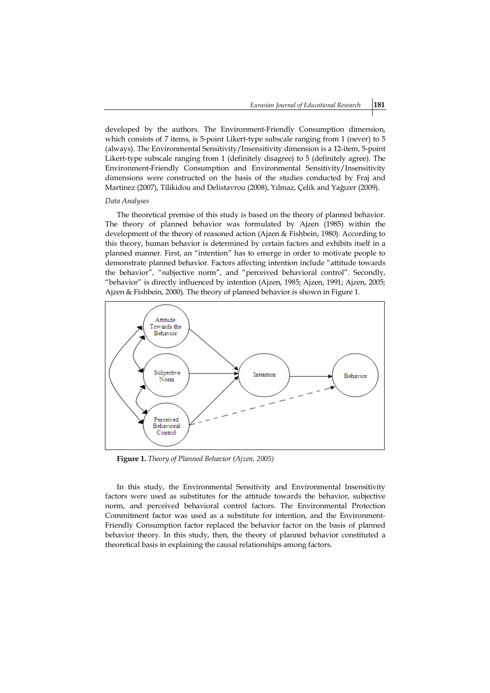developed by the authors. The Environment-Friendly Consumption dimension, which consists of 7 items, is 5-point Likert-type subscale ranging from 1 (never) to 5 (always). The Environmental Sensitivity/Insensitivity dimension is a 12-item, 5-point Likert-type subscale ranging from 1 (definitely disagree) to 5 (definitely agree). The Environment-Friendly Consumption and Environmental Sensitivity/Insensitivity dimensions were constructed on the basis of the studies conducted by Fraj and Martinez (2007), Tilikidou and Delistavrou (2008), Yılmaz, Çelik and Yağızer (2009).

#### *Data Analyses*

The theoretical premise of this study is based on the theory of planned behavior. The theory of planned behavior was formulated by Ajzen (1985) within the development of the theory of reasoned action (Ajzen & Fishbein, 1980). According to this theory, human behavior is determined by certain factors and exhibits itself in a planned manner. First, an "intention" has to emerge in order to motivate people to demonstrate planned behavior. Factors affecting intention include "attitude towards the behavior", "subjective norm", and "perceived behavioral control". Secondly, "behavior" is directly influenced by intention (Ajzen, 1985; Ajzen, 1991; Ajzen, 2005; Ajzen & Fishbein, 2000). The theory of planned behavior is shown in Figure 1.



**Figure 1.** *Theory of Planned Behavior (Ajzen, 2005)*

In this study, the Environmental Sensitivity and Environmental Insensitivity factors were used as substitutes for the attitude towards the behavior, subjective norm, and perceived behavioral control factors. The Environmental Protection Commitment factor was used as a substitute for intention, and the Environment-Friendly Consumption factor replaced the behavior factor on the basis of planned behavior theory. In this study, then, the theory of planned behavior constituted a theoretical basis in explaining the causal relationships among factors.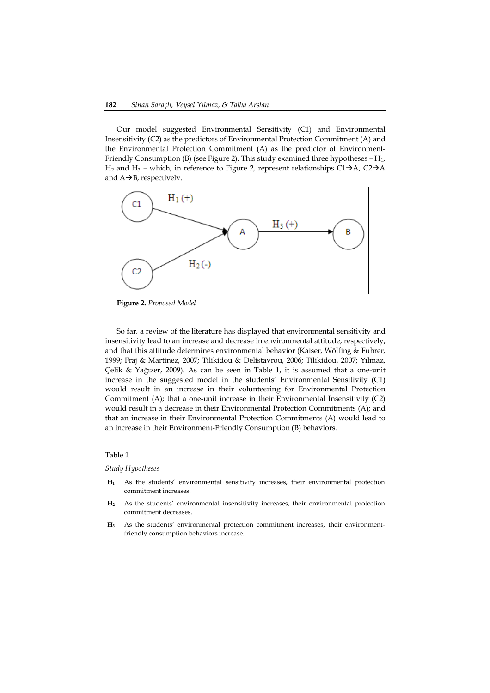Our model suggested Environmental Sensitivity (C1) and Environmental Insensitivity (C2) as the predictors of Environmental Protection Commitment (A) and the Environmental Protection Commitment (A) as the predictor of Environment-Friendly Consumption (B) (see Figure 2). This study examined three hypotheses - H<sub>1</sub>,  $H_2$  and  $H_3$  – which, in reference to Figure 2, represent relationships C1 $\rightarrow$ A, C2 $\rightarrow$ A and  $A\rightarrow B$ , respectively.



**Figure 2.** *Proposed Model*

So far, a review of the literature has displayed that environmental sensitivity and insensitivity lead to an increase and decrease in environmental attitude, respectively, and that this attitude determines environmental behavior (Kaiser, Wölfing & Fuhrer, 1999; Fraj & Martinez, 2007; Tilikidou & Delistavrou, 2006; Tilikidou, 2007; Yılmaz, Çelik & Yağızer, 2009). As can be seen in Table 1, it is assumed that a one-unit increase in the suggested model in the students' Environmental Sensitivity (C1) would result in an increase in their volunteering for Environmental Protection Commitment (A); that a one-unit increase in their Environmental Insensitivity (C2) would result in a decrease in their Environmental Protection Commitments (A); and that an increase in their Environmental Protection Commitments (A) would lead to an increase in their Environment-Friendly Consumption (B) behaviors.

## Table 1

*Study Hypotheses*

**H<sup>1</sup>** As the students' environmental sensitivity increases, their environmental protection commitment increases.

**H<sup>2</sup>** As the students' environmental insensitivity increases, their environmental protection commitment decreases.

**H<sup>3</sup>** As the students' environmental protection commitment increases, their environmentfriendly consumption behaviors increase.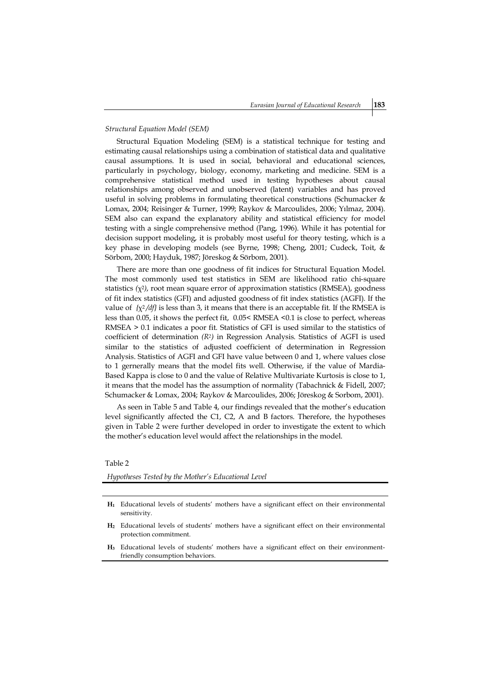#### *Structural Equation Model (SEM)*

Structural Equation Modeling (SEM) is a statistical technique for testing and estimating causal relationships using a combination of statistical data and qualitative causal assumptions. It is used in social, behavioral and educational sciences, particularly in psychology, biology, economy, marketing and medicine. SEM is a comprehensive statistical method used in testing hypotheses about causal relationships among observed and unobserved (latent) variables and has proved useful in solving problems in formulating theoretical constructions (Schumacker & Lomax, 2004; Reisinger & Turner, 1999; Raykov & Marcoulides, 2006; Yılmaz, 2004). SEM also can expand the explanatory ability and statistical efficiency for model testing with a single comprehensive method (Pang, 1996). While it has potential for decision support modeling, it is probably most useful for theory testing, which is a key phase in developing models (see Byrne, 1998; Cheng, 2001; Cudeck, Toit, & Sörbom, 2000; Hayduk, 1987; Jöreskog & Sörbom, 2001).

There are more than one goodness of fit indices for Structural Equation Model. The most commonly used test statistics in SEM are likelihood ratio chi-square statistics  $(\chi^2)$ , root mean square error of approximation statistics (RMSEA), goodness of fit index statistics (GFI) and adjusted goodness of fit index statistics (AGFI). If the value of  $\{\chi^2/df\}$  is less than 3, it means that there is an acceptable fit. If the RMSEA is less than 0.05, it shows the perfect fit, 0.05< RMSEA <0.1 is close to perfect, whereas RMSEA > 0.1 indicates a poor fit. Statistics of GFI is used similar to the statistics of coefficient of determination *(R2)* in Regression Analysis. Statistics of AGFI is used similar to the statistics of adjusted coefficient of determination in Regression Analysis. Statistics of AGFI and GFI have value between 0 and 1, where values close to 1 gernerally means that the model fits well. Otherwise, if the value of Mardia-Based Kappa is close to 0 and the value of Relative Multivariate Kurtosis is close to 1, it means that the model has the assumption of normality (Tabachnick & Fidell, 2007; Schumacker & Lomax, 2004; Raykov & Marcoulides, 2006; Jöreskog & Sorbom, 2001).

As seen in Table 5 and Table 4, our findings revealed that the mother's education level significantly affected the C1, C2, A and B factors. Therefore, the hypotheses given in Table 2 were further developed in order to investigate the extent to which the mother's education level would affect the relationships in the model.

#### Table 2

*Hypotheses Tested by the Mother's Educational Level*

- **H<sup>1</sup>** Educational levels of students' mothers have a significant effect on their environmental sensitivity.
- **H<sup>2</sup>** Educational levels of students' mothers have a significant effect on their environmental protection commitment.
- **H<sup>3</sup>** Educational levels of students' mothers have a significant effect on their environmentfriendly consumption behaviors.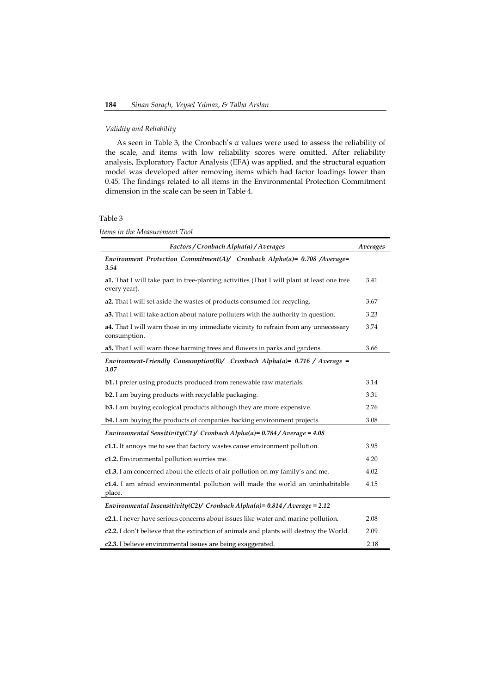## *Validity and Reliability*

As seen in Table 3, the Cronbach's α values were used to assess the reliability of the scale, and items with low reliability scores were omitted. After reliability analysis, Exploratory Factor Analysis (EFA) was applied, and the structural equation model was developed after removing items which had factor loadings lower than 0.45. The findings related to all items in the Environmental Protection Commitment dimension in the scale can be seen in Table 4.

## Table 3

*Items in the Measurement Tool*

| Factors / Cronbach Alpha(a) / Averages                                                                            | Averages |  |  |  |
|-------------------------------------------------------------------------------------------------------------------|----------|--|--|--|
| Environment Protection Commitment(A)/ Cronbach Alpha(a) = $0.708$ /Average=<br>3.54                               |          |  |  |  |
| <b>a1.</b> That I will take part in tree-planting activities (That I will plant at least one tree<br>every year). | 3.41     |  |  |  |
| a2. That I will set aside the wastes of products consumed for recycling.                                          | 3.67     |  |  |  |
| <b>a3.</b> That I will take action about nature polluters with the authority in question.                         | 3.23     |  |  |  |
| <b>a4.</b> That I will warn those in my immediate vicinity to refrain from any unnecessary<br>consumption.        | 3.74     |  |  |  |
| a5. That I will warn those harming trees and flowers in parks and gardens.                                        | 3.66     |  |  |  |
| Environment-Friendly Consumption(B)/ Cronbach Alpha(a)= $0.716$ / Average =<br>3.07                               |          |  |  |  |
| <b>b1.</b> I prefer using products produced from renewable raw materials.                                         | 3.14     |  |  |  |
| b2. I am buying products with recyclable packaging.                                                               |          |  |  |  |
| <b>b3.</b> I am buying ecological products although they are more expensive.                                      |          |  |  |  |
| <b>b4.</b> I am buying the products of companies backing environment projects.                                    |          |  |  |  |
| Environmental Sensitivity(C1)/ Cronbach Alpha(a)= $0.784$ /Average = 4.08                                         |          |  |  |  |
| c1.1. It annoys me to see that factory wastes cause environment pollution.                                        | 3.95     |  |  |  |
| c1.2. Environmental pollution worries me.                                                                         | 4.20     |  |  |  |
| c1.3. I am concerned about the effects of air pollution on my family's and me.                                    | 4.02     |  |  |  |
| c1.4. I am afraid environmental pollution will made the world an uninhabitable<br>place.                          | 4.15     |  |  |  |
| Environmental Insensitivity(C2)/ Cronbach Alpha(a) = $0.814$ / Average = 2.12                                     |          |  |  |  |
| c2.1. I never have serious concerns about issues like water and marine pollution.                                 | 2.08     |  |  |  |
| <b>c2.2.</b> I don't believe that the extinction of animals and plants will destroy the World.                    | 2.09     |  |  |  |
| c2.3. I believe environmental issues are being exaggerated.                                                       | 2.18     |  |  |  |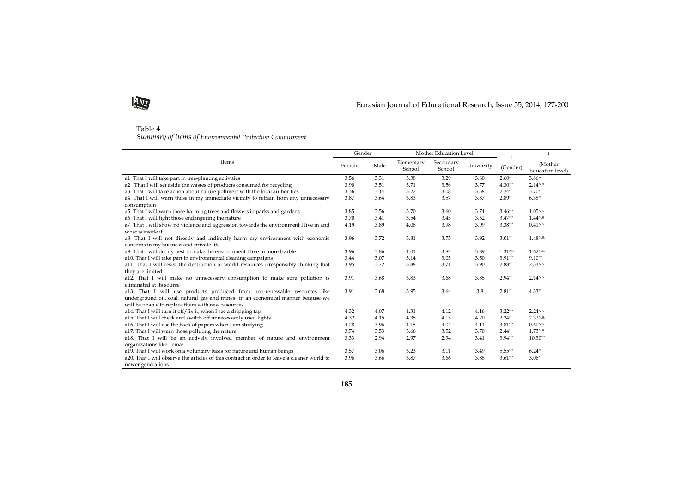

## Eurasian Journal of Educational Research, Issue 55, 2014, 177-200

#### Table 4

*Summary of items of Environmental Protection Commitment*

| Items                                                                                                                                                                                                            |      | Gender | Mother Education Level |                     |            |                    |                             |
|------------------------------------------------------------------------------------------------------------------------------------------------------------------------------------------------------------------|------|--------|------------------------|---------------------|------------|--------------------|-----------------------------|
|                                                                                                                                                                                                                  |      | Male   | Elementary<br>School   | Secondary<br>School | University | (Gender)           | (Mother<br>Education level) |
| a1. That I will take part in tree-planting activities                                                                                                                                                            | 3.56 | 3.31   | 3.38                   | 3.29                | 3.60       | $2.60**$           | $3.86**$                    |
| a2. That I will set aside the wastes of products consumed for recycling                                                                                                                                          | 3.90 | 3.51   | 3.71                   | 3.56                | 3.77       | $4.30***$          | 2.14N.S.                    |
| a3. That I will take action about nature polluters with the local authorities                                                                                                                                    | 3.36 | 3.14   | 3.27                   | 3.08                | 3.38       | $2.24*$            | $3.70*$                     |
| a4. That I will warn those in my immediate vicinity to refrain from any unnecessary<br>consumption                                                                                                               | 3.87 | 3.64   | 3.83                   | 3.57                | 3.87       | $2.89**$           | $6.38**$                    |
| a5. That I will warn those harming trees and flowers in parks and gardens                                                                                                                                        | 3.85 | 3.56   | 3.70                   | 3.60                | 3.74       | $3.46***$          | 1.05N.S.                    |
| a6. That I will fight those endangering the nature                                                                                                                                                               | 3.70 | 3.41   | 3.54                   | 3.45                | 3.62       | $3.47***$          | 1.44 <sup>NS</sup>          |
| a7. That I will show no violence and aggression towards the environment I live in and<br>what is inside it                                                                                                       | 4.19 | 3.89   | 4.08                   | 3.98                | 3.99       | $3.38***$          | $0.41$ <sub>N.S.</sub>      |
| a8. That I will not directly and indirectly harm my environment with economic<br>concerns in my business and private life                                                                                        | 3.96 | 3.72   | 3.81                   | 3.75                | 3.92       | $3.01$ **          | 1.48 <sup>N.S.</sup>        |
| a9. That I will do my best to make the environment I live in more livable                                                                                                                                        | 3.96 | 3.86   | 4.01                   | 3.84                | 3.89       | 1.31 <sub>NS</sub> | $1.62$ <sub>N.S.</sub>      |
| a10. That I will take part in environmental cleaning campaigns                                                                                                                                                   |      | 3.07   | 3.14                   | 3.05                | 3.50       | $3.91***$          | $9.10***$                   |
| a11. That I will resist the destruction of world resources irresponsibly thinking that<br>they are limited                                                                                                       | 3.95 | 3.72   | 3.88                   | 3.71                | 3.90       | $2.88**$           | 2.33N.S.                    |
| a12. That I will make no unnecessary consumption to make sure pollution is<br>eliminated at its source                                                                                                           | 3.91 | 3.68   | 3.83                   | 3.68                | 3.85       | $2.94**$           | 2.14 <sub>N.S.</sub>        |
| a13. That I will use products produced from non-renewable resources like<br>underground oil, coal, natural gas and mines in an economical manner because we<br>will be unable to replace them with new resources | 3.91 | 3.68   | 3.95                   | 3.64                | 3.8        | $2.81**$           | $4.33**$                    |
| a14. That I will turn it off/fix it, when I see a dripping tap                                                                                                                                                   | 4.32 | 4.07   | 4.31                   | 4.12                | 4.16       | $3.22***$          | 2.24N.S.                    |
| a15. That I will check and switch off unnecessarily used lights                                                                                                                                                  | 4.32 | 4.15   | 4.35                   | 4.15                | 4.20       | $2.24*$            | 2.32N.S.                    |
| a16. That I will use the back of papers when I am studying                                                                                                                                                       |      | 3.96   | 4.15                   | 4.04                | 4.11       | $3.81***$          | $0.60$ <sub>N.S.</sub>      |
| a17. That I will warn those polluting the nature                                                                                                                                                                 | 3.74 | 3.53   | 3.66                   | 3.52                | 3.70       | $2.44*$            | 1.73N.S.                    |
| a18. That I will be an actively involved member of nature and environment                                                                                                                                        |      | 2.94   | 2.97                   | 2.94                | 3.41       | $3.94***$          | $10.30***$                  |
| organizations like Tema <sup>a</sup>                                                                                                                                                                             |      |        |                        |                     |            |                    |                             |
| a19. That I will work on a voluntary basis for nature and human beings                                                                                                                                           | 3.57 | 3.06   | 3.23                   | 3.11                | 3.49       | $5.55***$          | $6.24**$                    |
| a20. That I will observe the articles of this contract in order to leave a cleaner world to<br>newer generations                                                                                                 | 3.96 | 3.66   | 3.87                   | 3.66                | 3.88       | $3.61***$          | $3.06*$                     |

**185**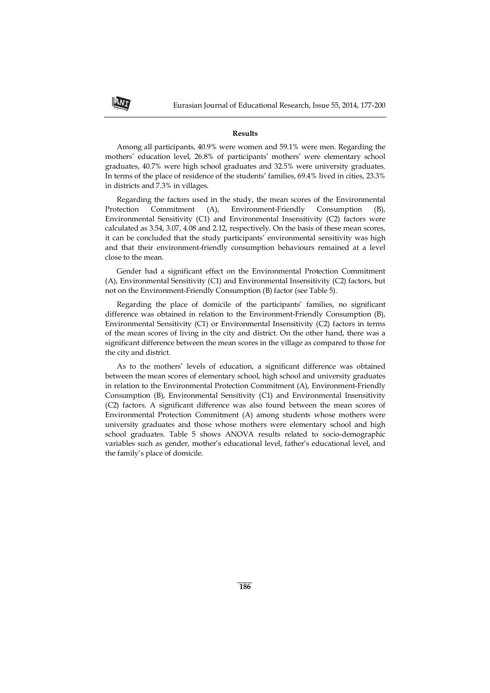#### **Results**

Among all participants, 40.9% were women and 59.1% were men. Regarding the mothers' education level, 26.8% of participants' mothers' were elementary school graduates, 40.7% were high school graduates and 32.5% were university graduates. In terms of the place of residence of the students' families, 69.4% lived in cities, 23.3% in districts and 7.3% in villages.

Regarding the factors used in the study, the mean scores of the Environmental Protection Commitment (A), Environment-Friendly Consumption (B), Environmental Sensitivity (C1) and Environmental Insensitivity (C2) factors were calculated as 3.54, 3.07, 4.08 and 2.12, respectively. On the basis of these mean scores, it can be concluded that the study participants' environmental sensitivity was high and that their environment-friendly consumption behaviours remained at a level close to the mean.

Gender had a significant effect on the Environmental Protection Commitment (A), Environmental Sensitivity (C1) and Environmental Insensitivity (C2) factors, but not on the Environment-Friendly Consumption (B) factor (see Table 5).

Regarding the place of domicile of the participants' families, no significant difference was obtained in relation to the Environment-Friendly Consumption (B), Environmental Sensitivity (C1) or Environmental Insensitivity (C2) factors in terms of the mean scores of living in the city and district. On the other hand, there was a significant difference between the mean scores in the village as compared to those for the city and district.

As to the mothers' levels of education, a significant difference was obtained between the mean scores of elementary school, high school and university graduates in relation to the Environmental Protection Commitment (A), Environment-Friendly Consumption (B), Environmental Sensitivity (C1) and Environmental Insensitivity (C2) factors. A significant difference was also found between the mean scores of Environmental Protection Commitment (A) among students whose mothers were university graduates and those whose mothers were elementary school and high school graduates. Table 5 shows ANOVA results related to socio-demographic variables such as gender, mother's educational level, father's educational level, and the family's place of domicile.

ANI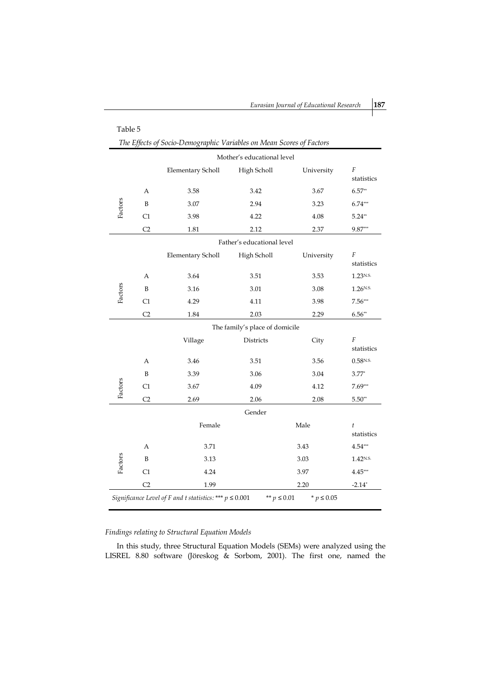|                                                                                                  | Table 5                                                              |                          |                            |            |                      |  |  |
|--------------------------------------------------------------------------------------------------|----------------------------------------------------------------------|--------------------------|----------------------------|------------|----------------------|--|--|
|                                                                                                  | The Effects of Socio-Demographic Variables on Mean Scores of Factors |                          |                            |            |                      |  |  |
|                                                                                                  | Mother's educational level                                           |                          |                            |            |                      |  |  |
|                                                                                                  |                                                                      | <b>Elementary Scholl</b> | High Scholl                | University | F<br>statistics      |  |  |
|                                                                                                  | А                                                                    | 3.58                     | 3.42                       | 3.67       | $6.57**$             |  |  |
| Factors                                                                                          | B                                                                    | 3.07                     | 2.94                       | 3.23       | $6.74***$            |  |  |
|                                                                                                  | C1                                                                   | 3.98                     | 4.22                       | 4.08       | $5.24**$             |  |  |
|                                                                                                  | C <sub>2</sub>                                                       | 1.81                     | 2.12                       | 2.37       | $9.87***$            |  |  |
|                                                                                                  |                                                                      |                          | Father's educational level |            |                      |  |  |
|                                                                                                  |                                                                      | <b>Elementary Scholl</b> | High Scholl                | University | F<br>statistics      |  |  |
|                                                                                                  | A                                                                    | 3.64                     | 3.51                       | 3.53       | 1.23 <sub>N.S.</sub> |  |  |
| Factors                                                                                          | B                                                                    | 3.16                     | 3.01                       | 3.08       | 1.26N.S.             |  |  |
|                                                                                                  | C1                                                                   | 4.29                     | 4.11                       | 3.98       | $7.56***$            |  |  |
|                                                                                                  | C <sub>2</sub>                                                       | 1.84                     | 2.03                       | 2.29       | $6.56**$             |  |  |
| The family's place of domicile                                                                   |                                                                      |                          |                            |            |                      |  |  |
|                                                                                                  |                                                                      | Village                  | <b>Districts</b>           | City       | F<br>statistics      |  |  |
|                                                                                                  | A                                                                    | 3.46                     | 3.51                       | 3.56       | 0.58N.S.             |  |  |
|                                                                                                  | B                                                                    | 3.39                     | 3.06                       | 3.04       | $3.77*$              |  |  |
| Factors                                                                                          | C1                                                                   | 3.67                     | 4.09                       | 4.12       | $7.69***$            |  |  |
|                                                                                                  | C <sub>2</sub>                                                       | 2.69                     | 2.06                       | 2.08       | $5.50**$             |  |  |
|                                                                                                  |                                                                      |                          | Gender                     |            |                      |  |  |
|                                                                                                  |                                                                      | Female                   |                            | Male       | t<br>statistics      |  |  |
|                                                                                                  | Α                                                                    | 3.71                     |                            | 3.43       | 4.54***              |  |  |
| Factors                                                                                          | B                                                                    | 3.13                     |                            | 3.03       | 1.42 <sup>N.S.</sup> |  |  |
|                                                                                                  | C1<br>4.24<br>3.97                                                   |                          | $4.45***$                  |            |                      |  |  |
|                                                                                                  | C <sub>2</sub>                                                       | 1.99                     |                            | 2.20       | $-2.14*$             |  |  |
| Significance Level of F and t statistics: *** $p \le 0.001$<br>* $p \le 0.05$<br>** $p \le 0.01$ |                                                                      |                          |                            |            |                      |  |  |

## *Findings relating to Structural Equation Models*

In this study, three Structural Equation Models (SEMs) were analyzed using the LISREL 8.80 software (Jöreskog & Sorbom, 2001). The first one, named the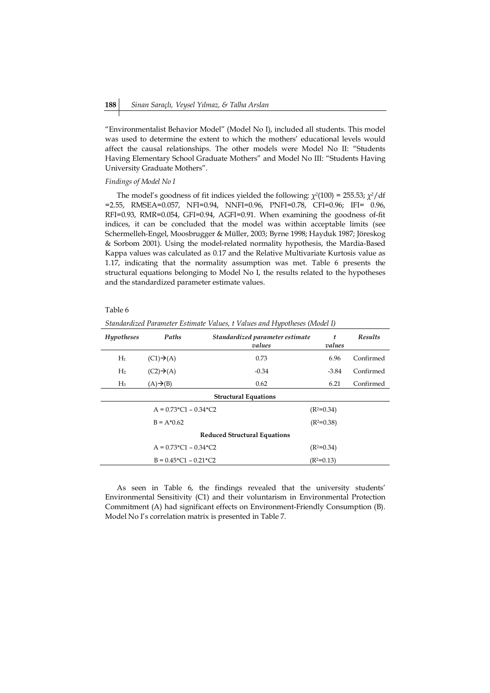"Environmentalist Behavior Model" (Model No I), included all students. This model was used to determine the extent to which the mothers' educational levels would affect the causal relationships. The other models were Model No II: "Students Having Elementary School Graduate Mothers" and Model No III: "Students Having University Graduate Mothers".

#### *Findings of Model No I*

The model's goodness of fit indices yielded the following: *χ2*(100) = 255.53; *χ2*/df =2.55, RMSEA=0.057, NFI=0.94, NNFI=0.96, PNFI=0.78, CFI=0.96; IFI= 0.96, RFI=0.93, RMR=0.054, GFI=0.94, AGFI=0.91. When examining the goodness of-fit indices, it can be concluded that the model was within acceptable limits (see Schermelleh-Engel, Moosbrugger & Müller, 2003; Byrne 1998; Hayduk 1987; Jöreskog & Sorbom 2001). Using the model-related normality hypothesis, the Mardia-Based Kappa values was calculated as 0.17 and the Relative Multivariate Kurtosis value as 1.17, indicating that the normality assumption was met. Table 6 presents the structural equations belonging to Model No I, the results related to the hypotheses and the standardized parameter estimate values.

## Table 6

| Paths<br><b>Hypotheses</b><br>Standardized parameter estimate<br>values |                                                 | t<br>values | <b>Results</b> |           |  |  |  |
|-------------------------------------------------------------------------|-------------------------------------------------|-------------|----------------|-----------|--|--|--|
| $H_1$                                                                   | $(C1) \rightarrow (A)$                          | 0.73        | 6.96           | Confirmed |  |  |  |
| H <sub>2</sub>                                                          | $(C2) \rightarrow (A)$                          | $-0.34$     | $-3.84$        | Confirmed |  |  |  |
| $H_3$                                                                   | $(A) \rightarrow (B)$                           | 0.62        | 6.21           | Confirmed |  |  |  |
|                                                                         | <b>Structural Equations</b>                     |             |                |           |  |  |  |
|                                                                         | $A = 0.73 \times 1 - 0.34 \times 12$            |             | $(R2=0.34)$    |           |  |  |  |
|                                                                         | $B = A*0.62$                                    |             | $(R2=0.38)$    |           |  |  |  |
| <b>Reduced Structural Equations</b>                                     |                                                 |             |                |           |  |  |  |
|                                                                         | $A = 0.73 \times 1 - 0.34 \times 12$            |             | $(R2=0.34)$    |           |  |  |  |
|                                                                         | $B = 0.45 \times 10^{-7} - 0.21 \times 10^{-7}$ |             | $(R2=0.13)$    |           |  |  |  |

*Standardized Parameter Estimate Values, t Values and Hypotheses (Model I)*

As seen in Table 6, the findings revealed that the university students' Environmental Sensitivity (C1) and their voluntarism in Environmental Protection Commitment (A) had significant effects on Environment-Friendly Consumption (B). Model No I's correlation matrix is presented in Table 7.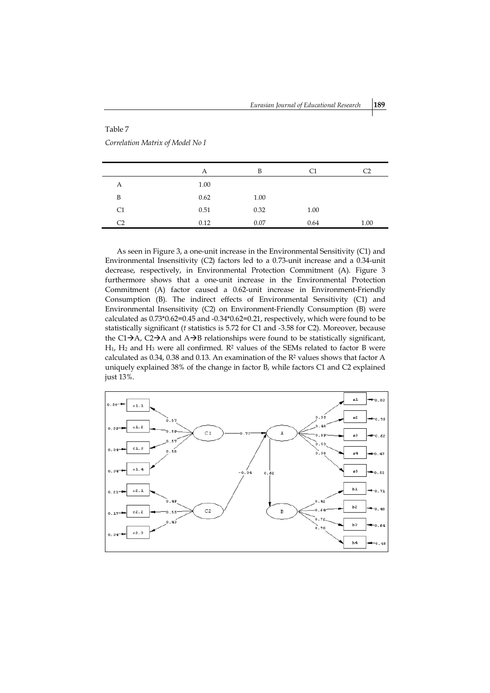## Table 7

*Correlation Matrix of Model No I*

|                | А    | B    | C1   | C2   |
|----------------|------|------|------|------|
| А              | 1.00 |      |      |      |
| B              | 0.62 | 1.00 |      |      |
| C1             | 0.51 | 0.32 | 1.00 |      |
| C <sub>2</sub> | 0.12 | 0.07 | 0.64 | 1.00 |

As seen in Figure 3, a one-unit increase in the Environmental Sensitivity (C1) and Environmental Insensitivity (C2) factors led to a 0.73-unit increase and a 0.34-unit decrease, respectively, in Environmental Protection Commitment (A). Figure 3 furthermore shows that a one-unit increase in the Environmental Protection Commitment (A) factor caused a 0.62-unit increase in Environment-Friendly Consumption (B). The indirect effects of Environmental Sensitivity (C1) and Environmental Insensitivity (C2) on Environment-Friendly Consumption (B) were calculated as 0.73\*0.62=0.45 and -0.34\*0.62=0.21, respectively, which were found to be statistically significant (*t* statistics is 5.72 for C1 and -3.58 for C2). Moreover, because the C1 $\rightarrow$ A, C2 $\rightarrow$ A and A $\rightarrow$ B relationships were found to be statistically significant,  $H_1$ ,  $H_2$  and  $H_3$  were all confirmed.  $R^2$  values of the SEMs related to factor B were calculated as 0.34, 0.38 and 0.13. An examination of the R<sup>2</sup> values shows that factor A uniquely explained 38% of the change in factor B, while factors C1 and C2 explained just 13%.

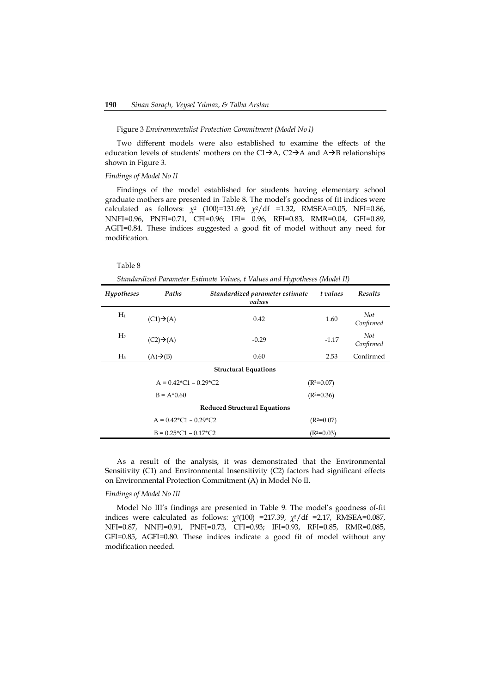#### Figure 3 *Environmentalist Protection Commitment (Model No I)*

Two different models were also established to examine the effects of the education levels of students' mothers on the C1 $\rightarrow$ A, C2 $\rightarrow$ A and A $\rightarrow$ B relationships shown in Figure 3.

## *Findings of Model No II*

Findings of the model established for students having elementary school graduate mothers are presented in Table 8. The model's goodness of fit indices were calculated as follows: *χ<sup>2</sup>* (100)=131.69; *χ2*/df =1.32, RMSEA=0.05, NFI=0.86, NNFI=0.96, PNFI=0.71, CFI=0.96; IFI= 0.96, RFI=0.83, RMR=0.04, GFI=0.89, AGFI=0.84. These indices suggested a good fit of model without any need for modification.

## Table 8

*Standardized Parameter Estimate Values, t Values and Hypotheses (Model II)*

| Hypotheses                                           | Paths<br>Standardized parameter estimate<br>values |                             | t values     | <b>Results</b>   |  |  |
|------------------------------------------------------|----------------------------------------------------|-----------------------------|--------------|------------------|--|--|
| $H_1$                                                | $(C1) \rightarrow (A)$                             | 0.42                        | 1.60         | Not<br>Confirmed |  |  |
| H <sub>2</sub>                                       | $(C2) \rightarrow (A)$                             | $-0.29$                     | $-1.17$      | Not<br>Confirmed |  |  |
| $H_3$                                                | $(A) \rightarrow (B)$                              | 0.60                        | 2.53         | Confirmed        |  |  |
|                                                      |                                                    | <b>Structural Equations</b> |              |                  |  |  |
| $A = 0.42 \times C1 - 0.29 \times C2$<br>$(R2=0.07)$ |                                                    |                             |              |                  |  |  |
|                                                      | $B = A*0.60$                                       |                             | $(R2=0.36)$  |                  |  |  |
| <b>Reduced Structural Equations</b>                  |                                                    |                             |              |                  |  |  |
|                                                      | $A = 0.42 \times C1 - 0.29 \times C2$              |                             | $(R^2=0.07)$ |                  |  |  |
|                                                      | $B = 0.25 \times 1 - 0.17 \times 2$                |                             | $(R2=0.03)$  |                  |  |  |

As a result of the analysis, it was demonstrated that the Environmental Sensitivity (C1) and Environmental Insensitivity (C2) factors had significant effects on Environmental Protection Commitment (A) in Model No II.

## *Findings of Model No III*

Model No III's findings are presented in Table 9. The model's goodness of-fit indices were calculated as follows: *χ2*(100) =217.39, *χ2*/df =2.17, RMSEA=0.087, NFI=0.87, NNFI=0.91, PNFI=0.73, CFI=0.93; IFI=0.93, RFI=0.85, RMR=0.085, GFI=0.85, AGFI=0.80. These indices indicate a good fit of model without any modification needed.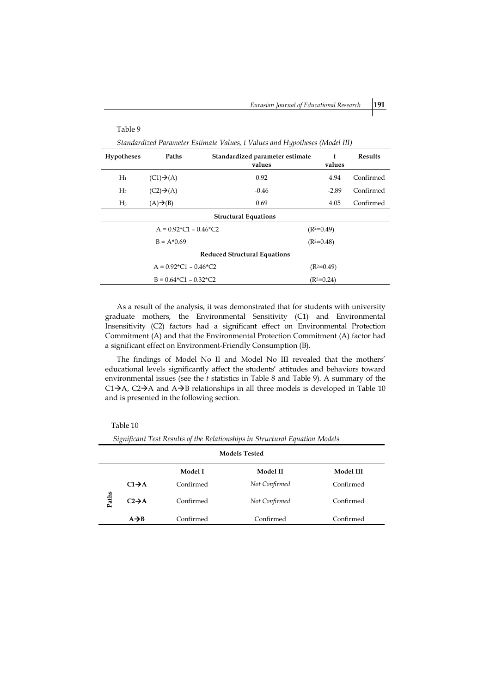*Eurasian Journal of Educational Research* **191**

| Table 9                                                                     |                                      |                                           |              |                |  |  |  |
|-----------------------------------------------------------------------------|--------------------------------------|-------------------------------------------|--------------|----------------|--|--|--|
| Standardized Parameter Estimate Values, t Values and Hypotheses (Model III) |                                      |                                           |              |                |  |  |  |
| <b>Hypotheses</b>                                                           | Paths                                | Standardized parameter estimate<br>values | t<br>values  | <b>Results</b> |  |  |  |
| $H_1$                                                                       | $(C1) \rightarrow (A)$               | 0.92                                      | 4.94         | Confirmed      |  |  |  |
| H <sub>2</sub>                                                              | $(C2) \rightarrow (A)$               | $-0.46$                                   | $-2.89$      | Confirmed      |  |  |  |
| $H_3$                                                                       | $(A) \rightarrow (B)$                | 0.69                                      | 4.05         | Confirmed      |  |  |  |
| <b>Structural Equations</b>                                                 |                                      |                                           |              |                |  |  |  |
|                                                                             | $A = 0.92 \times 1 - 0.46 \times 2$  |                                           | $(R^2=0.49)$ |                |  |  |  |
|                                                                             | $B = A*0.69$                         |                                           | $(R2=0.48)$  |                |  |  |  |
| <b>Reduced Structural Equations</b>                                         |                                      |                                           |              |                |  |  |  |
|                                                                             | $A = 0.92 \times 1 - 0.46 \times 12$ |                                           | $(R2=0.49)$  |                |  |  |  |
|                                                                             | $B = 0.64 \times 1 - 0.32 \times 12$ |                                           | $(R2=0.24)$  |                |  |  |  |

As a result of the analysis, it was demonstrated that for students with university graduate mothers, the Environmental Sensitivity (C1) and Environmental Insensitivity (C2) factors had a significant effect on Environmental Protection Commitment (A) and that the Environmental Protection Commitment (A) factor had a significant effect on Environment-Friendly Consumption (B).

The findings of Model No II and Model No III revealed that the mothers' educational levels significantly affect the students' attitudes and behaviors toward environmental issues (see the *t* statistics in Table 8 and Table 9). A summary of the  $C1\rightarrow A$ ,  $C2\rightarrow A$  and  $A\rightarrow B$  relationships in all three models is developed in Table 10 and is presented in the following section.

Table 10

| <b>Models Tested</b> |                    |           |               |                  |  |
|----------------------|--------------------|-----------|---------------|------------------|--|
|                      |                    | Model I   | Model II      | <b>Model III</b> |  |
|                      | $C1 \rightarrow A$ | Confirmed | Not Confirmed | Confirmed        |  |
| Paths                | $C2 \rightarrow A$ | Confirmed | Not Confirmed | Confirmed        |  |
|                      | $A \rightarrow B$  | Confirmed | Confirmed     | Confirmed        |  |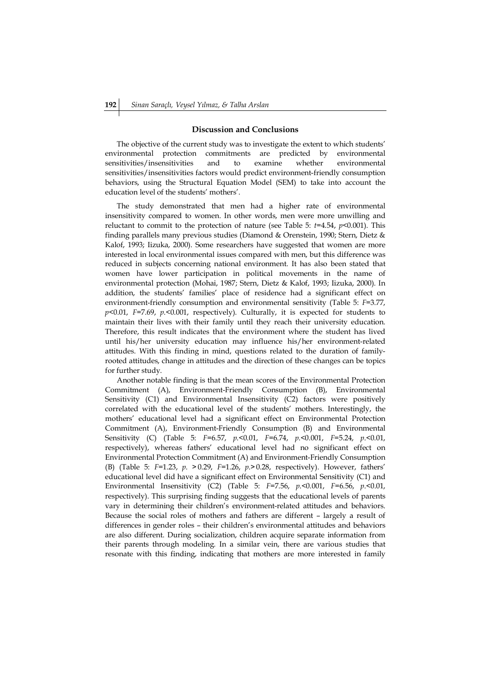## **Discussion and Conclusions**

The objective of the current study was to investigate the extent to which students' environmental protection commitments are predicted by environmental sensitivities/insensitivities and to examine whether environmental sensitivities/insensitivities factors would predict environment-friendly consumption behaviors, using the Structural Equation Model (SEM) to take into account the education level of the students' mothers'.

The study demonstrated that men had a higher rate of environmental insensitivity compared to women. In other words, men were more unwilling and reluctant to commit to the protection of nature (see Table 5:  $t=4.54$ ,  $p<0.001$ ). This finding parallels many previous studies (Diamond & Orenstein, 1990; Stern, Dietz & Kalof, 1993; Iizuka, 2000). Some researchers have suggested that women are more interested in local environmental issues compared with men, but this difference was reduced in subjects concerning national environment. It has also been stated that women have lower participation in political movements in the name of environmental protection (Mohai, 1987; Stern, Dietz & Kalof, 1993; Iizuka, 2000). In addition, the students' families' place of residence had a significant effect on environment-friendly consumption and environmental sensitivity (Table 5: *F*=3.77, *p*<0.01, *F*=7.69, *p*.<0.001, respectively). Culturally, it is expected for students to maintain their lives with their family until they reach their university education. Therefore, this result indicates that the environment where the student has lived until his/her university education may influence his/her environment-related attitudes. With this finding in mind, questions related to the duration of familyrooted attitudes, change in attitudes and the direction of these changes can be topics for further study.

Another notable finding is that the mean scores of the Environmental Protection Commitment (A), Environment-Friendly Consumption (B), Environmental Sensitivity (C1) and Environmental Insensitivity (C2) factors were positively correlated with the educational level of the students' mothers. Interestingly, the mothers' educational level had a significant effect on Environmental Protection Commitment (A), Environment-Friendly Consumption (B) and Environmental Sensitivity (C) (Table 5: *F*=6.57, *p*.<0.01, *F*=6.74, *p*.<0.001, *F*=5.24, *p*.<0.01, respectively), whereas fathers' educational level had no significant effect on Environmental Protection Commitment (A) and Environment-Friendly Consumption (B) (Table 5: *F*=1.23, *p*. ˃ 0.29, *F*=1.26, *p*.˃ 0.28, respectively). However, fathers' educational level did have a significant effect on Environmental Sensitivity (C1) and Environmental Insensitivity (C2) (Table 5: *F*=7.56, *p*.<0.001, *F*=6.56, *p*.<0.01, respectively). This surprising finding suggests that the educational levels of parents vary in determining their children's environment-related attitudes and behaviors. Because the social roles of mothers and fathers are different – largely a result of differences in gender roles – their children's environmental attitudes and behaviors are also different. During socialization, children acquire separate information from their parents through modeling. In a similar vein, there are various studies that resonate with this finding, indicating that mothers are more interested in family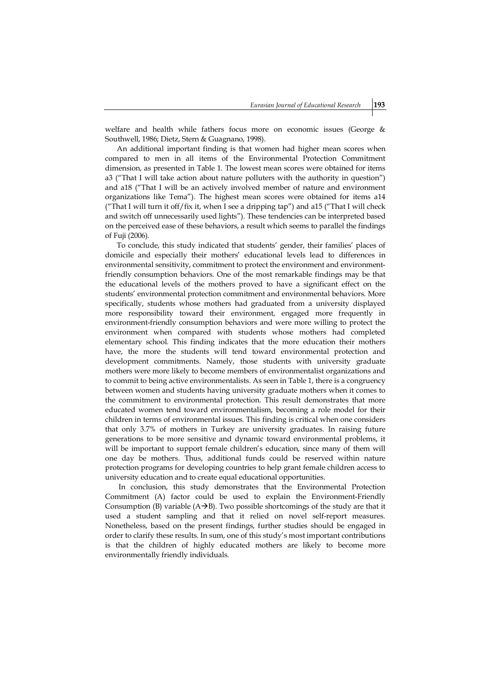welfare and health while fathers focus more on economic issues (George & Southwell, 1986; Dietz, Stern & Guagnano, 1998).

An additional important finding is that women had higher mean scores when compared to men in all items of the Environmental Protection Commitment dimension, as presented in Table 1. The lowest mean scores were obtained for items a3 ("That I will take action about nature polluters with the authority in question") and a18 ("That I will be an actively involved member of nature and environment organizations like Tema"). The highest mean scores were obtained for items a14 ("That I will turn it off/fix it, when I see a dripping tap") and a15 ("That I will check and switch off unnecessarily used lights"). These tendencies can be interpreted based on the perceived ease of these behaviors, a result which seems to parallel the findings of Fuji (2006).

To conclude, this study indicated that students' gender, their families' places of domicile and especially their mothers' educational levels lead to differences in environmental sensitivity, commitment to protect the environment and environmentfriendly consumption behaviors. One of the most remarkable findings may be that the educational levels of the mothers proved to have a significant effect on the students' environmental protection commitment and environmental behaviors. More specifically, students whose mothers had graduated from a university displayed more responsibility toward their environment, engaged more frequently in environment-friendly consumption behaviors and were more willing to protect the environment when compared with students whose mothers had completed elementary school. This finding indicates that the more education their mothers have, the more the students will tend toward environmental protection and development commitments. Namely, those students with university graduate mothers were more likely to become members of environmentalist organizations and to commit to being active environmentalists. As seen in Table 1, there is a congruency between women and students having university graduate mothers when it comes to the commitment to environmental protection. This result demonstrates that more educated women tend toward environmentalism, becoming a role model for their children in terms of environmental issues. This finding is critical when one considers that only 3.7% of mothers in Turkey are university graduates. In raising future generations to be more sensitive and dynamic toward environmental problems, it will be important to support female children's education, since many of them will one day be mothers. Thus, additional funds could be reserved within nature protection programs for developing countries to help grant female children access to university education and to create equal educational opportunities.

In conclusion, this study demonstrates that the Environmental Protection Commitment (A) factor could be used to explain the Environment-Friendly Consumption (B) variable  $(A\rightarrow B)$ . Two possible shortcomings of the study are that it used a student sampling and that it relied on novel self-report measures. Nonetheless, based on the present findings, further studies should be engaged in order to clarify these results. In sum, one of this study's most important contributions is that the children of highly educated mothers are likely to become more environmentally friendly individuals.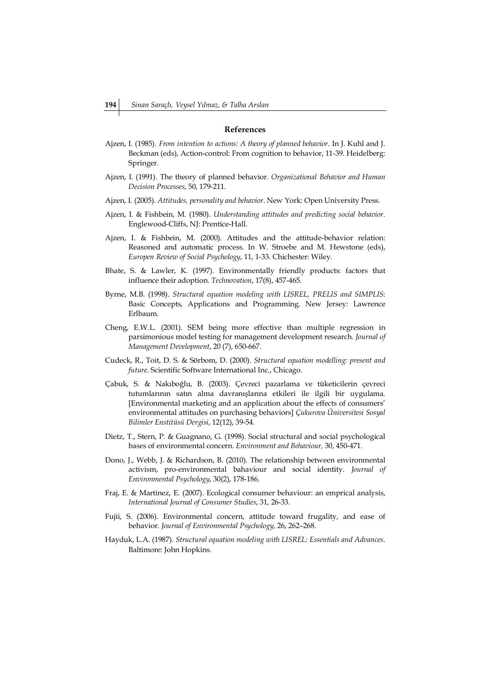## **References**

- Ajzen, I. (1985). *From intention to actions: A theory of planned behavior*. In J. Kuhl and J. Beckman (eds), Action-control: From cognition to behavior, 11-39. Heidelberg: Springer.
- Ajzen, I. (1991). The theory of planned behavior. *Organizational Behavior and Human Decision Processes*, 50, 179-211.
- Ajzen, I. (2005). *Attitudes, personality and behavior*. New York: Open University Press.
- Ajzen, I. & Fishbein, M. (1980). *Understanding attitudes and predicting social behavior*. Englewood-Cliffs, NJ: Prentice-Hall.
- Ajzen, I. & Fishbein, M. (2000). Attitudes and the attitude-behavior relation: Reasoned and automatic process. In W. Stroebe and M. Hewstone (eds), *Europen Review of Social Psychology*, 11, 1-33. Chichester: Wiley.
- Bhate, S. & Lawler, K. (1997). Environmentally friendly products: factors that influence their adoption. *Technovation*, 17(8), 457-465.
- Byrne, M.B. (1998). *Structural equation modeling with LISREL, PRELIS and SIMPLIS*: Basic Concepts, Applications and Programming. New Jersey: Lawrence Erlbaum.
- Cheng, E.W.L. (2001). SEM being more effective than multiple regression in parsimonious model testing for management development research. *Journal of Management Development*, 20 (7), 650-667.
- Cudeck, R., Toit, D. S. & Sörbom, D. (2000). *Structural equation modelling: present and future*. Scientific Software International Inc., Chicago.
- Çabuk, S. & Nakıboğlu, B. (2003). Çevreci pazarlama ve tüketicilerin çevreci tutumlarının satın alma davranışlarına etkileri ile ilgili bir uygulama. [Environmental marketing and an application about the effects of consumers' environmental attitudes on purchasing behaviors] *Çukurova Üniversitesi Sosyal Bilimler Enstitüsü Dergisi*, 12(12), 39-54.
- Dietz, T., Stern, P. & Guagnano, G. (1998). Social structural and social psychological bases of environmental concern. *Environment and Behaviour,* 30, 450-471.
- Dono, J., Webb, J. & Richardson, B. (2010). The relationship between environmental activism, pro-environmental bahaviour and social identity. *Journal of Environmental Psychology*, 30(2), 178-186.
- Fraj, E. & Martinez, E. (2007). Ecological consumer behaviour: an emprical analysis, *International Journal of Consumer Studies*, 31, 26-33.
- Fujii, S. (2006). Environmental concern, attitude toward frugality, and ease of behavior. *Journal of Environmental Psychology*, 26, 262–268.
- Hayduk, L.A. (1987). *Structural equation modeling with LISREL: Essentials and Advances*. Baltimore: John Hopkins.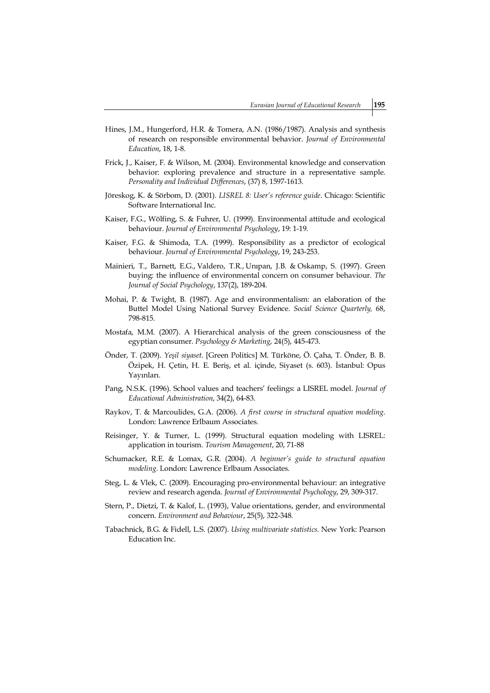- Hines, J.M., Hungerford, H.R. & Tomera, A.N. (1986/1987). Analysis and synthesis of research on responsible environmental behavior. *Journal of Environmental Education*, 18, 1-8.
- Frick, J., Kaiser, F. & Wilson, M. (2004). Environmental knowledge and conservation behavior: exploring prevalence and structure in a representative sample. *Personality and Individual Differences*, (37) 8, 1597-1613.
- Jöreskog, K. & Sörbom, D. (2001). *LISREL 8: User's reference guide*. Chicago: Scientific Software International Inc.
- Kaiser, F.G., Wölfing, S. & Fuhrer, U. (1999). Environmental attitude and ecological behaviour. *Journal of Environmental Psychology*, 19: 1-19.
- Kaiser, F.G. & Shimoda, T.A. (1999). Responsibility as a predictor of ecological behaviour. *Journal of Environmental Psychology*, 19, 243-253.
- Mainieri, T., Barnett, E.G., Valdero, T.R., Unıpan, J.B. & Oskamp, S. (1997). Green buying: the influence of environmental concern on consumer behaviour. *The Journal of Social Psychology*, 137(2), 189-204.
- Mohai, P. & Twight, B. (1987). Age and environmentalism: an elaboration of the Buttel Model Using National Survey Evidence. *Social Science Quarterly,* 68, 798-815.
- Mostafa, M.M. (2007). A Hierarchical analysis of the green consciousness of the egyptian consumer. *Psychology & Marketing*, 24(5), 445-473.
- Önder, T. (2009). *Yeşil siyaset*. [Green Politics] M. Türköne, Ö. Çaha, T. Önder, B. B. Özipek, H. Çetin, H. E. Beriş, et al. içinde, Siyaset (s. 603). İstanbul: Opus Yayınları.
- Pang, N.S.K. (1996). School values and teachers' feelings: a LISREL model. *Journal of Educational Administration*, 34(2), 64-83.
- Raykov, T. & Marcoulides, G.A. (2006). *A first course in structural equation modeling*. London: Lawrence Erlbaum Associates.
- Reisinger, Y. & Turner, L. (1999). Structural equation modeling with LISREL: application in tourism. *Tourism Management*, 20, 71-88
- Schumacker, R.E. & Lomax, G.R. (2004). *A beginner's guide to structural equation modeling*. London: Lawrence Erlbaum Associates.
- Steg, L. & Vlek, C. (2009). Encouraging pro-environmental behaviour: an integrative review and research agenda. *Journal of Environmental Psychology*, 29, 309-317.
- Stern, P., Dietzi, T. & Kalof, L. (1993), Value orientations, gender, and environmental concern. *Environment and Behaviour*, 25(5), 322-348.
- Tabachnick, B.G. & Fidell, L.S. (2007). *Using multivariate statistics.* New York: Pearson Education Inc.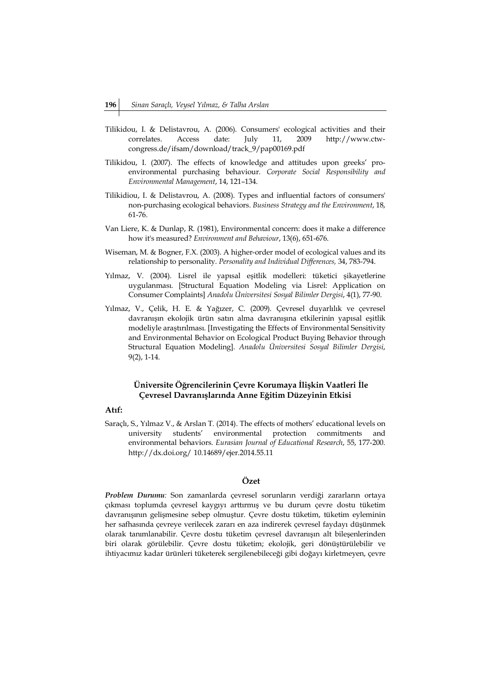- Tilikidou, I. & Delistavrou, A. (2006). Consumers' ecological activities and their correlates. Access date: July 11, 2009 http://www.ctwcongress.de/ifsam/download/track\_9/pap00169.pdf
- Tilikidou, I. (2007). The effects of knowledge and attitudes upon greeks' proenvironmental purchasing behaviour. *Corporate Social Responsibility and Environmental Management*, 14, 121–134.
- Tilikidiou, I. & Delistavrou, A. (2008). Types and influential factors of consumers' non-purchasing ecological behaviors. *Business Strategy and the Environment*, 18, 61-76.
- Van Liere, K. & Dunlap, R. (1981), Environmental concern: does it make a difference how it's measured? *Environment and Behaviour*, 13(6), 651-676.
- Wiseman, M. & Bogner, F.X. (2003). A higher-order model of ecological values and its relationship to personality. *Personality and Individual Differences,* 34, 783-794.
- Yılmaz, V. (2004). Lisrel ile yapısal eşitlik modelleri: tüketici şikayetlerine uygulanması. [Structural Equation Modeling via Lisrel: Application on Consumer Complaints] *Anadolu Üniversitesi Sosyal Bilimler Dergisi*, 4(1), 77-90.
- Yılmaz, V., Çelik, H. E. & Yağızer, C. (2009). Çevresel duyarlılık ve çevresel davranışın ekolojik ürün satın alma davranışına etkilerinin yapısal eşitlik modeliyle araştırılması. [Investigating the Effects of Environmental Sensitivity and Environmental Behavior on Ecological Product Buying Behavior through Structural Equation Modeling]. *Anadolu Üniversitesi Sosyal Bilimler Dergisi*, 9(2), 1-14.

## **Üniversite Öğrencilerinin Çevre Korumaya İlişkin Vaatleri İle Çevresel Davranışlarında Anne Eğitim Düzeyinin Etkisi**

## **Atıf:**

Saraçlı, S., Yılmaz V., & Arslan T. (2014). The effects of mothers' educational levels on university students' environmental protection commitments and environmental behaviors. *Eurasian Journal of Educational Research*, 55, 177-200. http://dx.doi.org/ 10.14689/ejer.2014.55.11

## **Özet**

*Problem Durumu:* Son zamanlarda çevresel sorunların verdiği zararların ortaya çıkması toplumda çevresel kaygıyı arttırmış ve bu durum çevre dostu tüketim davranışının gelişmesine sebep olmuştur. Çevre dostu tüketim, tüketim eyleminin her safhasında çevreye verilecek zararı en aza indirerek çevresel faydayı düşünmek olarak tanımlanabilir. Çevre dostu tüketim çevresel davranışın alt bileşenlerinden biri olarak görülebilir. Çevre dostu tüketim; ekolojik, geri dönüştürülebilir ve ihtiyacımız kadar ürünleri tüketerek sergilenebileceği gibi doğayı kirletmeyen, çevre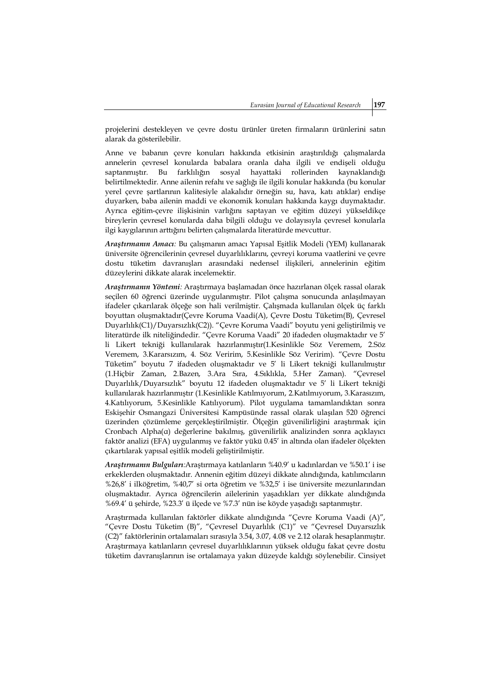projelerini destekleyen ve çevre dostu ürünler üreten firmaların ürünlerini satın alarak da gösterilebilir.

Anne ve babanın çevre konuları hakkında etkisinin araştırıldığı çalışmalarda annelerin çevresel konularda babalara oranla daha ilgili ve endişeli olduğu saptanmıştır. Bu farklılığın sosyal hayattaki rollerinden kaynaklandığı belirtilmektedir. Anne ailenin refahı ve sağlığı ile ilgili konular hakkında (bu konular yerel çevre şartlarının kalitesiyle alakalıdır örneğin su, hava, katı atıklar) endişe duyarken, baba ailenin maddi ve ekonomik konuları hakkında kaygı duymaktadır. Ayrıca eğitim-çevre ilişkisinin varlığını saptayan ve eğitim düzeyi yükseldikçe bireylerin çevresel konularda daha bilgili olduğu ve dolayısıyla çevresel konularla ilgi kaygılarının arttığını belirten çalışmalarda literatürde mevcuttur.

*Araştırmanın Amacı:* Bu çalışmanın amacı Yapısal Eşitlik Modeli (YEM) kullanarak üniversite öğrencilerinin çevresel duyarlılıklarını, çevreyi koruma vaatlerini ve çevre dostu tüketim davranışları arasındaki nedensel ilişkileri, annelerinin eğitim düzeylerini dikkate alarak incelemektir.

*Araştırmanın Yöntemi:* Araştırmaya başlamadan önce hazırlanan ölçek rassal olarak seçilen 60 öğrenci üzerinde uygulanmıştır. Pilot çalışma sonucunda anlaşılmayan ifadeler çıkarılarak ölçeğe son hali verilmiştir. Çalışmada kullanılan ölçek üç farklı boyuttan oluşmaktadır(Çevre Koruma Vaadi(A), Çevre Dostu Tüketim(B), Çevresel Duyarlılık(C1)/Duyarsızlık(C2)). "Çevre Koruma Vaadi" boyutu yeni geliştirilmiş ve literatürde ilk niteliğindedir. "Çevre Koruma Vaadi" 20 ifadeden oluşmaktadır ve 5' li Likert tekniği kullanılarak hazırlanmıştır(1.Kesinlikle Söz Veremem, 2.Söz Veremem, 3.Kararsızım, 4. Söz Veririm, 5.Kesinlikle Söz Veririm). "Çevre Dostu Tüketim" boyutu 7 ifadeden oluşmaktadır ve 5' li Likert tekniği kullanılmıştır (1.Hiçbir Zaman, 2.Bazen, 3.Ara Sıra, 4.Sıklıkla, 5.Her Zaman). "Çevresel Duyarlılık/Duyarsızlık" boyutu 12 ifadeden oluşmaktadır ve 5' li Likert tekniği kullanılarak hazırlanmıştır (1.Kesinlikle Katılmıyorum, 2.Katılmıyorum, 3.Karasızım, 4.Katılıyorum, 5.Kesinlikle Katılıyorum). Pilot uygulama tamamlandıktan sonra Eskişehir Osmangazi Üniversitesi Kampüsünde rassal olarak ulaşılan 520 öğrenci üzerinden çözümleme gerçekleştirilmiştir. Ölçeğin güvenilirliğini araştırmak için Cronbach Alpha(α) değerlerine bakılmış, güvenilirlik analizinden sonra açıklayıcı faktör analizi (EFA) uygulanmış ve faktör yükü 0.45' in altında olan ifadeler ölçekten çıkartılarak yapısal eşitlik modeli geliştirilmiştir.

*Araştırmanın Bulguları:*Araştırmaya katılanların %40.9' u kadınlardan ve %50.1' i ise erkeklerden oluşmaktadır. Annenin eğitim düzeyi dikkate alındığında, katılımcıların %26,8' i ilköğretim, %40,7' si orta öğretim ve %32,5' i ise üniversite mezunlarından oluşmaktadır. Ayrıca öğrencilerin ailelerinin yaşadıkları yer dikkate alındığında %69.4' ü şehirde, %23.3' ü ilçede ve %7.3' nün ise köyde yaşadığı saptanmıştır.

Araştırmada kullanılan faktörler dikkate alındığında "Çevre Koruma Vaadi (A)", "Çevre Dostu Tüketim (B)", "Çevresel Duyarlılık (C1)" ve "Çevresel Duyarsızlık (C2)" faktörlerinin ortalamaları sırasıyla 3.54, 3.07, 4.08 ve 2.12 olarak hesaplanmıştır. Araştırmaya katılanların çevresel duyarlılıklarının yüksek olduğu fakat çevre dostu tüketim davranışlarının ise ortalamaya yakın düzeyde kaldığı söylenebilir. Cinsiyet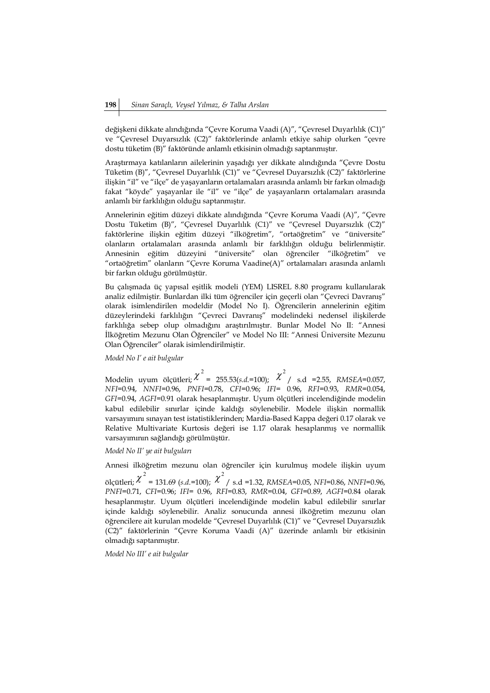değişkeni dikkate alındığında "Çevre Koruma Vaadi (A)", "Çevresel Duyarlılık (C1)" ve "Çevresel Duyarsızlık (C2)" faktörlerinde anlamlı etkiye sahip olurken "çevre dostu tüketim (B)" faktöründe anlamlı etkisinin olmadığı saptanmıştır.

Araştırmaya katılanların ailelerinin yaşadığı yer dikkate alındığında "Çevre Dostu Tüketim (B)", "Çevresel Duyarlılık (C1)" ve "Çevresel Duyarsızlık (C2)" faktörlerine ilişkin "il" ve "ilçe" de yaşayanların ortalamaları arasında anlamlı bir farkın olmadığı fakat "köyde" yaşayanlar ile "il" ve "ilçe" de yaşayanların ortalamaları arasında anlamlı bir farklılığın olduğu saptanmıştır.

Annelerinin eğitim düzeyi dikkate alındığında "Çevre Koruma Vaadi (A)", "Çevre Dostu Tüketim (B)", "Çevresel Duyarlılık (C1)" ve "Çevresel Duyarsızlık (C2)" faktörlerine ilişkin eğitim düzeyi "ilköğretim", "ortaöğretim" ve "üniversite" olanların ortalamaları arasında anlamlı bir farklılığın olduğu belirlenmiştir. Annesinin eğitim düzeyini "üniversite" olan öğrenciler "ilköğretim" ve "ortaöğretim" olanların "Çevre Koruma Vaadine(A)" ortalamaları arasında anlamlı bir farkın olduğu görülmüştür.

Bu çalışmada üç yapısal eşitlik modeli (YEM) LISREL 8.80 programı kullanılarak analiz edilmiştir. Bunlardan ilki tüm öğrenciler için geçerli olan "Çevreci Davranış" olarak isimlendirilen modeldir (Model No I). Öğrencilerin annelerinin eğitim düzeylerindeki farklılığın "Çevreci Davranış" modelindeki nedensel ilişkilerde farklılığa sebep olup olmadığını araştırılmıştır. Bunlar Model No II: "Annesi İlköğretim Mezunu Olan Öğrenciler" ve Model No III: "Annesi Üniversite Mezunu Olan Öğrenciler" olarak isimlendirilmiştir.

## *Model No I' e ait bulgular*

Modelin uyum ölçütleri;  $\chi^2$  = 255.53(*s.d.*=100);  $\chi^2$  / s.d = 2.55, *RMSEA*=0.057, *NFI*=0.94, *NNFI*=0.96, *PNFI*=0.78, *CFI*=0.96; *IFI*= 0.96, *RFI*=0.93, *RMR*=0.054, *GFI*=0.94, *AGFI*=0.91 olarak hesaplanmıştır. Uyum ölçütleri incelendiğinde modelin kabul edilebilir sınırlar içinde kaldığı söylenebilir. Modele ilişkin normallik varsayımını sınayan test istatistiklerinden; Mardia-Based Kappa değeri 0.17 olarak ve Relative Multivariate Kurtosis değeri ise 1.17 olarak hesaplanmış ve normallik varsayımının sağlandığı görülmüştür.

## *Model No II' ye ait bulguları*

Annesi ilköğretim mezunu olan öğrenciler için kurulmuş modele ilişkin uyum ölçütleri;  $\chi^2$  = 131.69 (*s.d.*=100); 2 / s.d =1.32, *RMSEA*=0.05, *NFI*=0.86, *NNFI*=0.96, *PNFI*=0.71, *CFI*=0.96; *IFI*= 0.96, *RFI*=0.83, *RMR*=0.04, *GFI*=0.89, *AGFI*=0.84 olarak hesaplanmıştır. Uyum ölçütleri incelendiğinde modelin kabul edilebilir sınırlar içinde kaldığı söylenebilir. Analiz sonucunda annesi ilköğretim mezunu olan öğrencilere ait kurulan modelde "Çevresel Duyarlılık (C1)" ve "Çevresel Duyarsızlık (C2)" faktörlerinin "Çevre Koruma Vaadi (A)" üzerinde anlamlı bir etkisinin olmadığı saptanmıştır.

*Model No III' e ait bulgular*